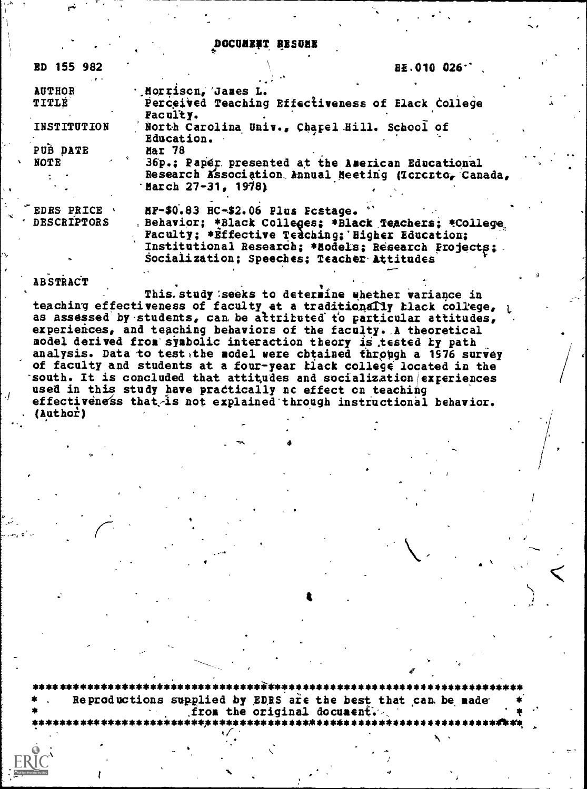#### DOCUMENT RESUME

| <b>ED 155 982</b>  | BE.010 026.                                                                                                                                                       |
|--------------------|-------------------------------------------------------------------------------------------------------------------------------------------------------------------|
| <b>AUTHOR</b>      | ' Morriscn, James L.                                                                                                                                              |
| TITLE              | Perceived Teaching Effectiveness of Elack College<br>Faculty.                                                                                                     |
| INSTITUTION        | North Carolina Univ., Chapel Hill. School of<br>Education.                                                                                                        |
| PUB DATE           | Mar 78                                                                                                                                                            |
| <b>NOTE</b>        | 36p.: Paper presented at the American Educational<br>Research Association Annual Meeting (Icrorto, Canada,<br>$37-31, 1978$                                       |
| <b>EDRS PRICE</b>  | HF-\$0.83 HC-\$2.06 Plus Fostage.                                                                                                                                 |
| <b>DESCRIPTORS</b> | . Behavior; *Black Colleges; *Black Teachers; *College<br>Faculty: *Effective Tedching: 'Higher Education:<br>Institutional Research: *Models: Pessarch Projects: |

Socialization; Speeches; Teacher Attitudes

#### ABSTRACT

This. study seeks to determine whether variance in teaching effectiveness of faculty at a traditionally black college, as assessed by students, can be attributed to particular attitudes, experiences, and teaching behaviors of the faculty. A theoretical model derived from symbolic interaction theory is tested by path analysis. Data to testathe model were chtained through a 1976 survey of faculty and students at a four-year black college located in the south. It is concluded that attitudes and socialization experiences used in this study have practically no effect on teaching effectiveness that is not explained through instructional behavior. (Author)

Reproductions supplied by EDRS are the best that can be made from the original document.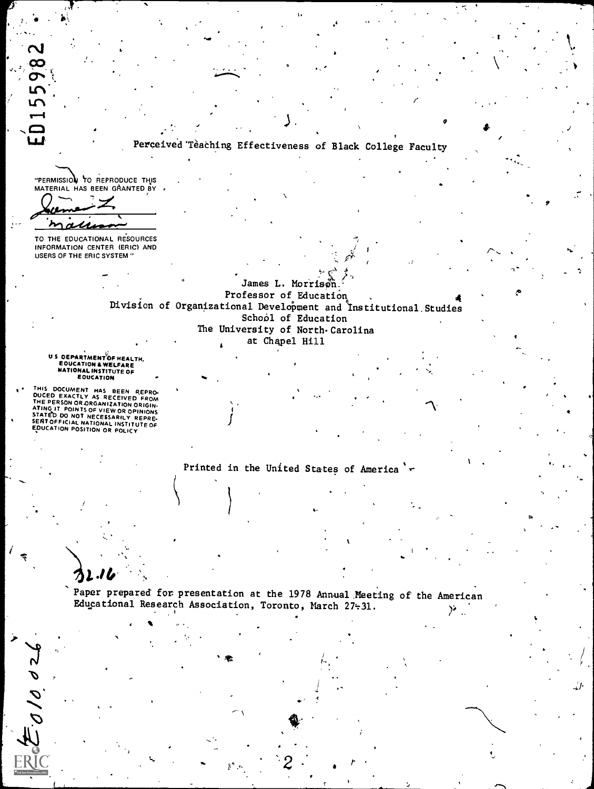015598

# Perceived Teaching Effectiveness of Black College Faculty

"PERMISSION TO REPRODUCE THIS<br>MATERIAL HAS BEEN GRANTED BY

 $\sim$ 

TO THE EDUCATIONAL RESOURCES INFORMATION CENTER (ERIC) AND **USERS OF THE ERIC SYSTEM "** 

# James L. Morrison Professor of Education<br>Division of Organizational Development and Institutional Studies School of Education The University of North-Carolina at Chapel Hill

US OEPARTMENT OF HEALTH,<br>EQUCATION & WELFARE<br>NATIONAL INSTITUTE OF<br>EQUCATION

THIS DOCUMENT HAS BEEN REPRODUCED EXACTLY AS RECEIVED FROM<br>THE PERSON OR ORGANIZATION ORIGINATING IT POINTS OF VIEW OR OPINIONS<br>STATED DO NOT NECESSARILY REPRODUS<br>SERITOFFICIAL NATIONAL INSTITUTE OF<br>EQUCATION POSITION OR P

 $E_{\cal O}/\sigma$  d2

Printed in the United States of America '

Paper prepared for presentation at the 1978 Annual Meeting of the American Educational Research Association, Toronto, March 27-31.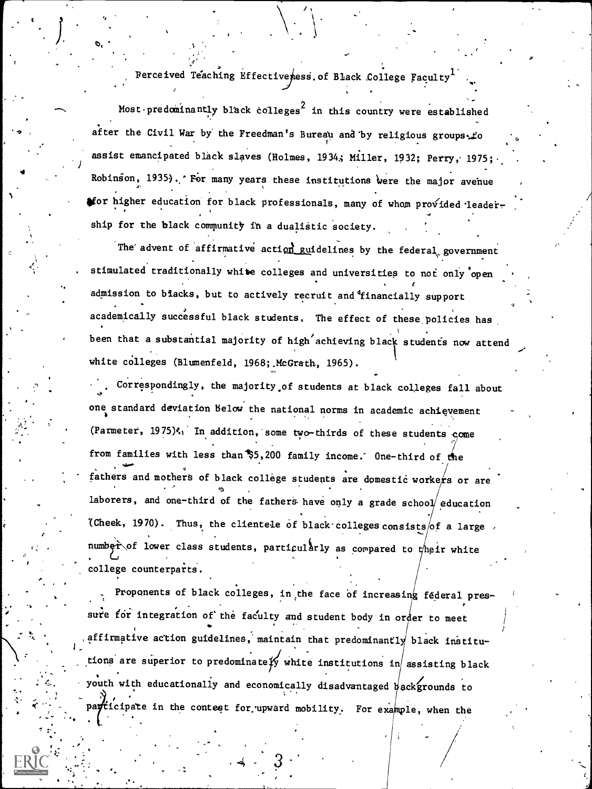Perceived Teaching Effectiveness of Black College Faculty

Most predominantly black colleges<sup>2</sup> in this country were established after the Civil War by the Freedman's Bureau and by religious groups. Lo assist emancipated black slaves (Holmes, 1934; Miller, 1932; Perry, 1975; Robinson, 1935). For many years these institutions were the major avenue for higher education for black professionals, many of whom provided leadership for the black community in a dualistic society.

The advent of affirmative action guidelines by the federal government stimulated traditionally white colleges and universities to not only open admission to blacks, but to actively recruit and financially support academically successful black students. The effect of these policies has been that a substantial majority of high achieving black students now attend white colleges (Blumenfeld, 1968; McGrath, 1965).

Correspondingly, the majority of students at black colleges fall about one standard deviation below the national norms in academic achievement (Parmeter, 1975). In addition, some two-thirds of these students come from families with less than \$5,200 family income. One-third of the fathers and mothers of black college students are domestic workers or are laborers, and one-third of the fathers have only a grade school education (Cheek, 1970). Thus, the clientele of black colleges consists of a large number of lower class students, particularly as compared to their white college counterparts.

Proponents of black colleges, in the face of increasing federal pressure for integration of the faculty and student body in order to meet affirmative action guidelines, maintain that predominantly black institutions are superior to predominately white institutions in assisting black youth with educationally and economically disadvantaged backgrounds to participate in the contest for upward mobility. For example, when the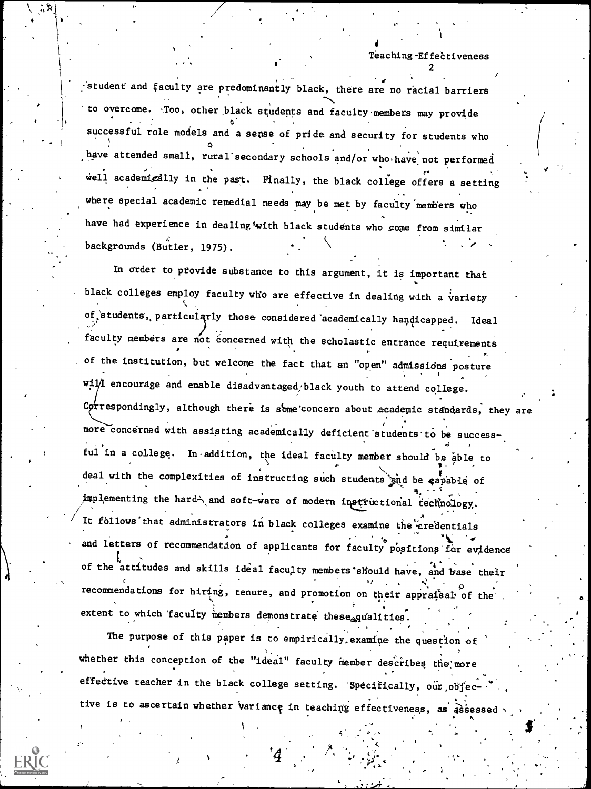student and faculty are predominantly black, there are no racial barriers to overcome. Too, other black students and faculty members may provide successful role models and a sense of pride and security for students who have attended small, rural secondary schools and/or who have not performed well academizally in the past. Finally, the black college offers a setting where special academic remedial needs may be met by faculty members who have had experience in dealing with black students who come from similar backgrounds (Butler, 1975).

In order to provide substance to this argument, it is important that black colleges employ faculty who are effective in dealing with a variety of students, particularly those considered academically handicapped. Ideal faculty members are not concerned with the scholastic entrance requirements of the institution, but welcome the fact that an "open" admissions posture will encourage and enable disadvantaged/black youth to attend college. Correspondingly, although there is some concern about academic standards, they are more concerned with assisting academically deficient students to be successful in a college. In addition, the ideal faculty member should be able to deal with the complexities of instructing such students gind be capable of implementing the hard and soft-ware of modern instructional technology. It follows that administrators in black colleges examine the credentials and letters of recommendation of applicants for faculty positions for evidence of the attitudes and skills ideal faculty members should have, and base their recommendations for hiring, tenure, and promotion on their appraisal of the extent to which faculty members demonstrate these qualities.

The purpose of this paper is to empirically examine the question of whether this conception of the "ideal" faculty member describes the more effective teacher in the black college setting. 'Specifically, our objective is to ascertain whether variance in teaching effectiveness, as assessed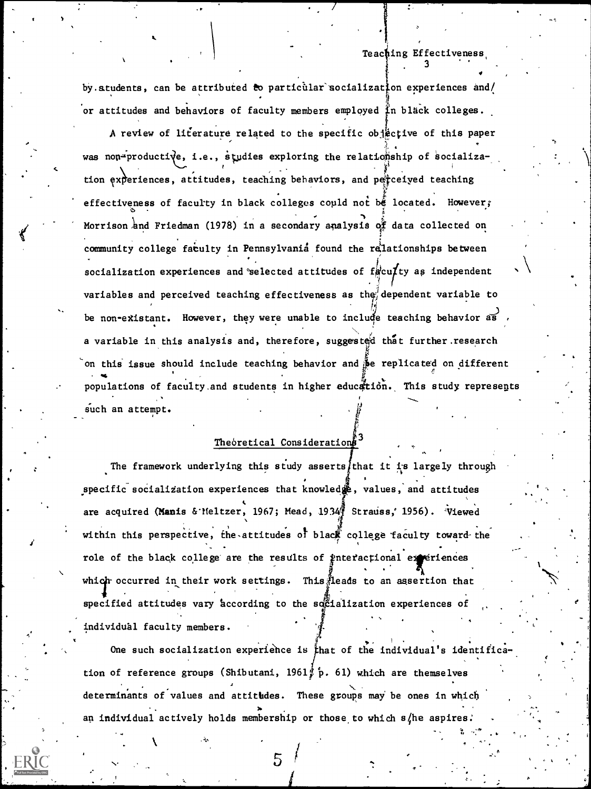3

a militar

by. students, can be attributed to particular socialization experiences and/ or attitudes and behaviors of faculty members employed  $\sharp$ n black colleges.

. r

k.

A review of literature related to the specific objective of this paper was non-productive, i.e., studies exploring the relationship of socialization experiences, attitudes, teaching behaviors, and perceived teaching , - 7 effectiveness of faculty in black colleges could not be located. However, Morrison and Friedman (1978) in a secondary analysis of data collected on community college faculty in Pennsylvania found the relationships between socialization experiences and selected attitudes of faculty as independent  $\qquad \rightarrow \quad$ for the state of the state of the state of the state of the state of the state of the state of the state of the variables and perceived teaching effectiveness as the dependent variable to be non-existant. However, they were unable to include teaching behavior as , a variable in this analysis and, therefore, suggested that further research on this issue should include teaching behavior and  $\beta$  replicated on different populations of faculty and students in higher education. This study represents such an attempt.

### Theoretical Considerations

The framework underlying this study asserts that it is largely through specific socialization experiences that knowled  $\ddot{\mathbf{g}}$ , values, and attitudes are acquired (Manis & Meltzer, 1967; Mead, 1934 Strauss, 1956). Viewed within this perspective, the attitudes of black college faculty toward the role of the black college are the results of interactional extriences which occurred in their work settings. This $\frac{3}{2}$ leads to an assertion that strategic and the strategic strategic specified attitudes vary according to the so $\tilde{c}$ ialization experiences of  $\qquad$ individual faculty members.

. One such socialization experience is that of the individual's identification of reference groups (Shibutani, 1961 $j$  p. 61) which are themselves determinants of values and attitudes. These groups may be ones in which an individual actively holds membership or those to which  $s/h$ e aspires.

 $5/$ 

I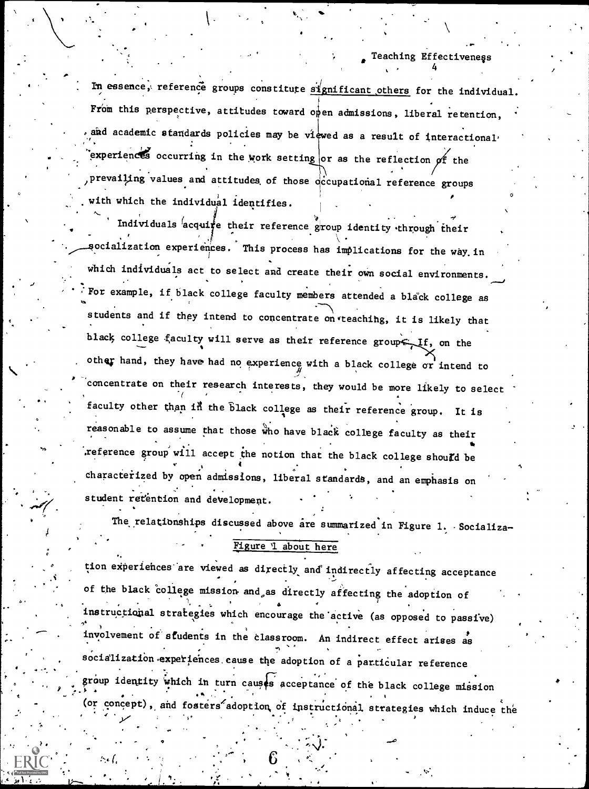4

In essence, reference groups constitute  $\frac{d}{dx}$  reference for the individual. From this perspective, attitudes toward open admissions, liberal retention, and academic standards policies may be viewed as a result of interactional. experiences occurring in the work setting or as the reflection of the prevailing values and attitudes of those occupational reference groups with which the individual identifies.  $\qquad \qquad$ 

Individuals acquire their reference group identity through their socialization experiences. This process has implications for the way in which individuals act to select and create their own social environments. fror example, if black college faculty members attended a black college as students and if they intend to concentrate on teaching, it is likely that black college faculty will serve as their reference group  $f$ , on the other hand, they have had no experience with a black college or intend to concentrate on their research interests, they would be more likely to select faculty other than in the black college as their reference group. It is reasonable to assume that those who have black college faculty as their reference group will accept the notion that the black college should be <sup>s</sup> 4 characterized by open admissions, liberal standards, and an emphasis on student retention and development.

The relationships discussed above are summarized in Figure 1. Socializa-Figure 1 about here

tion experiences are viewed as directly and indirectly affecting acceptance of the black college mission and as directly affecting the adoption of いっちょう アール・プレート こうしん エープリー アール・コーヒー instructional strategies which encourage the'active (as opposed to passive) ,,,. involvement of students in the classroom. An indirect effect arises as socialization experiences cause the adoption of a particular reference group identity which in turn causes acceptance of the black college mission (or concept), and fosters adoption of instructional strategies which induce the

..

 $\mathbf{r}$ 

O

 $\mathcal{L}$  -th  $\mathcal{L}$  -th  $\mathcal{L}$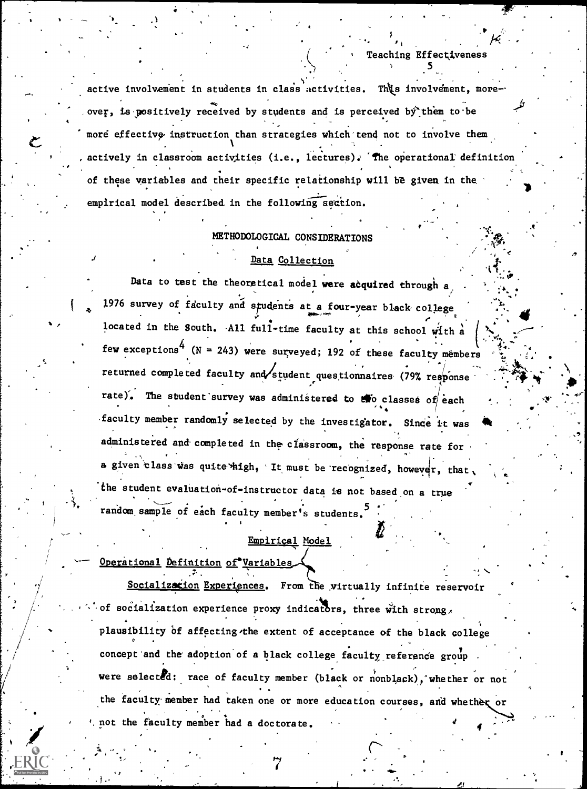active involvement in students in class activities. This involvement, moreover, is positively received by students and is perceived by them to be  $\sim$ more effective instruction than strategies which tend not to involve them. . The contract of the contract of the contract of the contract of the contract of the contract of the contract of the contract of the contract of the contract of the contract of the contract of the contract of the contrac , actively in classroom activities (i.e., lectures). The operational definition  $\qquad \qquad$ . . 5 of these variables and their specific relationship will be given in the empirical model described in the following seation.

Teaching Effectiveness

., '.s',. ,,..-

ti

### METHODOLOGICAL CONSIDERATIONS

## Data Collection

Data to test the theoretical model were acquired through  $a$ 1976 survey of faculty and students at a four-year black college in the students of the students of the studen located in the South. All full-time faculty at this school with a  $\left\lfloor \frac{1}{2} \right\rfloor$ few exceptions<sup>4</sup> (N = 243) were surveyed; 192 of these faculty members  $\ddot{t}$ returned completed faculty and student questionnaires (79% response . completed  $\cdots$ rate). The student survey was administered to  $\mathbf{t}$  o classes of each faculty member randomly selected by the investigator. Since it was administered and' completed in the classroom, the response rate for a given class was quite high. It must be recognized, however, that the student evaluation-of-instructor data is not based.on a true random sample of each faculty member's students.

### Empirical Model

 $\blacksquare$ 

Operational Definition of Variables

Socialization Experiences. From the virtually infinite reservoir of socialization experience proxy indicators, three with strong, plausibility of affecting the extent of acceptance of the black college . concept and the adoption of a black college faculty reference group were selected: race of faculty member (black or nonblack), whether or not the faculty member had taken one or more education courses, and whether or . I. not the faculty member had a doctorate.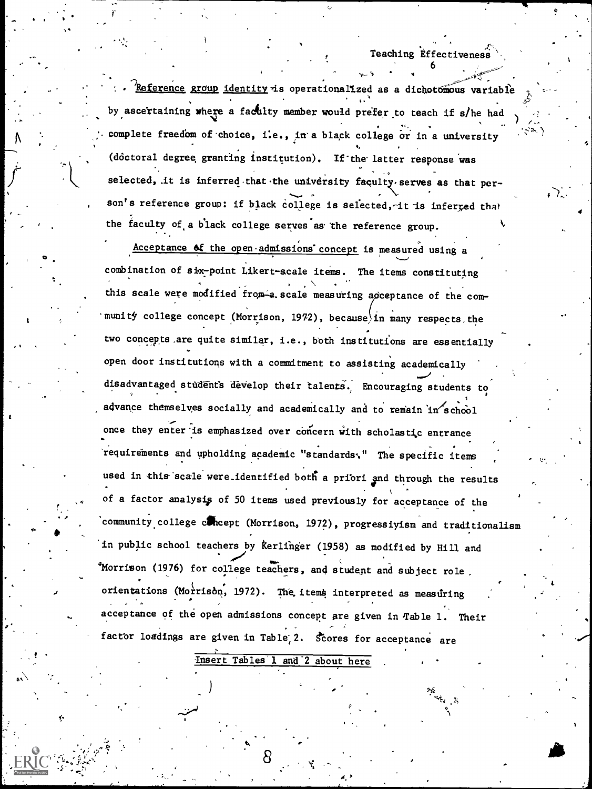st, Ailandischer Strausburg und der Strausburg und der Strausburg und der Strausburg und der Strausburg und de<br>Strausburg und der Strausburg und der Strausburg und der Strausburg und der Strausburg und der Strausburg und<br>1

-\_. .

 $\bullet$  .

. .

 $\sum_{i=1}^N\frac{1}{i}$ ,

i

4

;,

Reference group identity is operationallized as a dichotomous variable by ascertaining where a faculty member would prefer to teach if s/he had  $\rightarrow$ complete freedom of choice, i.e., in a black college or in a university (doctoral degree granting institution). If the latter response was selected, it is inferred that the university faculty serves as that person's reference group: if black college is selected, it is inferred that the faculty of a black college serves as the reference group.

Acceptance of the open-admissions concept is measured using a combination of six-point Likert -scale items. The items constituting this scale were modified from a scale measuring acceptance of the community college concept (Morrison, 1972), because in many respects the two concepts are quite similar, i.e., both institutions are essentially open door institutions with a commitment to assisting academically disadvantaged students develop their talents. Encouraging students to advance themselves socially and academically and to remain in school once they enter'is emphasized over concern with scholastic entrance requirements and upholding academic "standards." The specific items used in this scale were identified both a priori and through the results of a factor analysis of 50 items used previously for acceptance of the community college concept (Morrison, 1972), progressiyism and traditionalism in public school teachers by Kerlinger (1958) as modified by Hill and 'Morrison (1976) for college teachers, and student and subject role. orientations (Morrison, 1972). The items interpreted as measuring . acceptance of the open admissions concept are given in Table 1. Their factor loadings are given in Table 2. Scores for acceptance are

Insert Tables'l and-2 about here

 $\mathcal{L}$ .

 $\circ$  .

 $\lambda$ 

 $\bullet$   $\bullet$ 

 $\mathcal{I}$  and  $\mathcal{I}$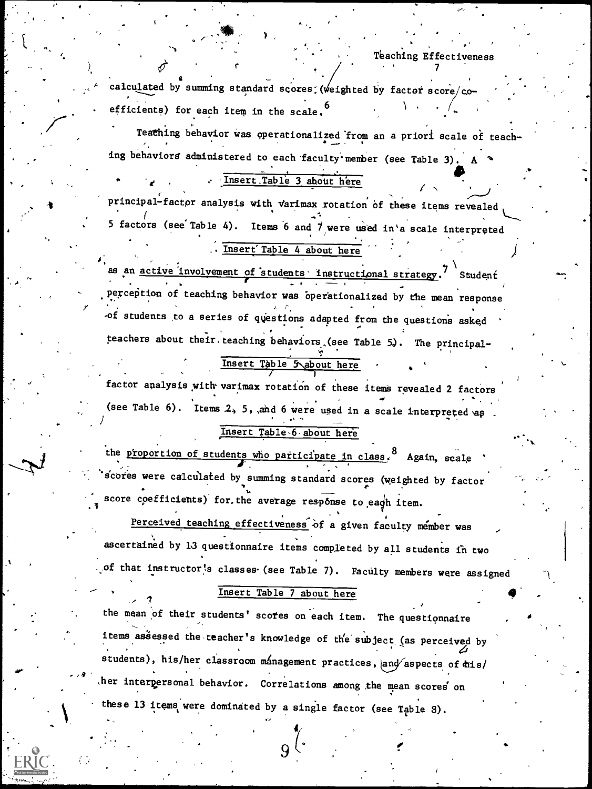.

.

a  $\sim$  calculated by summing standard scores (weighted by factor score/coefficients) for each item in the scale.<sup>6</sup>

Teathing behavior was operationalized from an a priori scale of teach-. ing behaviors administered to each faculty member (see Table 3).

# Insert.Table 3 about here

principal-factor analysis with varimax rotation of these items revealed 5 factors (see Table 4). Items 6 and  $7$  were used in'a scale interpreted

.,

# . Insert Table 4 about here

of students to a series of questions adapted from the questions asked as an active involvement of students instructional strategy.<sup>7</sup> Student  $\mathbf{V}$  and  $\mathbf{V}$  and  $\mathbf{V}$ Student . The contract of the contract of the contract of the contract of the contract of the contract of the contract of the contract of the contract of the contract of the contract of the contract of the contract of the contrac . Perception of teaching behavior was operationalized by the mean response teachers about their teaching behaviors (see Table 5). The principal-Insert Table 5 about here

 $\mathcal{L}$ factor analysis with' varimax rotation of these items revealed 2 factors (see Table 6). Items 2, 5, and 6 were used in a scale interpreted as

### Insert Table 6 about here

the proportion of students who participate in class, 8 Again, scale scores were calculated by summing standard scores (weighted by factor score coefficients) for, the average response to eagh item.

Perceived teaching effectiveness of a given faculty member was ascertained by 13 questionnaire items completed by all students in two of that instructor's classes (see Table 7). Faculty members were assigned

# . Insert Table 7 about here

,  $\lambda$  ,  $\lambda$  ,  $\lambda$  ,  $\lambda$ 

<sup>9</sup> ther interpersonal behavior. Correlations among the mean scores on the mean of their students' scores on each item. The questionnaire the contract of the students' scores on each item. items assessed the teacher's knowledge of the subject (as perceived by students), his/her classroom management practices, and aspects of  $\frac{1}{2}$ these 13 items were dominated by a single factor (see Table 3).

 $9<sup>o</sup>$ .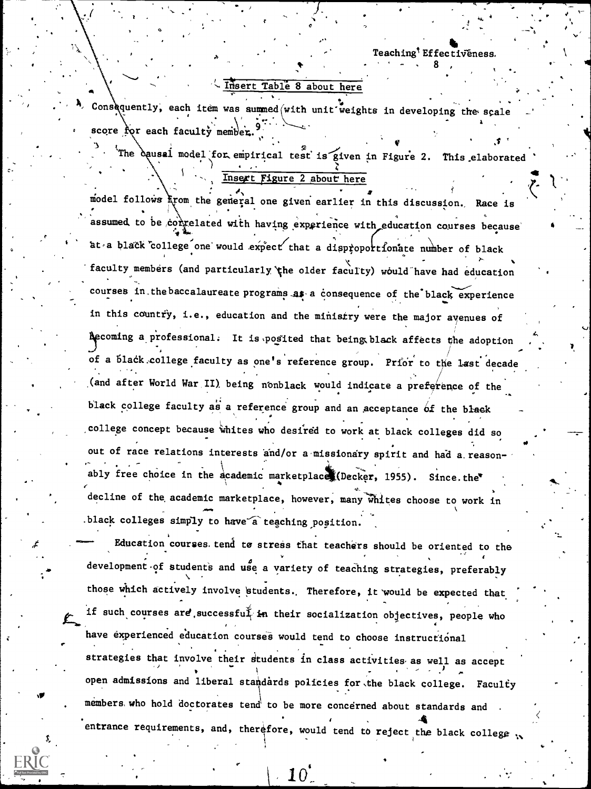# Insert Table 8 about here

Consequently, each item was summed with unit weights in developing the scale score for each faculty member.

The equasi model for empirical test is given in Figure 2. This elaborated

Insert Figure 2 about here

model follows krom the general one given earlier in this discussion. Race is assumed to be correlated with having experience with education courses because at a black college one would expect that a disproportionate number of black faculty members (and particularly the older faculty) would have had education courses in the baccalaureate programs as a consequence of the black experience in this country, i.e., education and the ministry were the major avenues of Aecoming a professional. It is posited that being black affects the adoption of a black college faculty as one's reference group. Prior to the last decade (and after World War II) being nonblack would indicate a preference of the black college faculty as a reference group and an acceptance of the black college concept because whites who desired to work at black colleges did so out of race relations interests and/or a missionary spirit and had a reasonably free choice in the academic marketplace (Decker, 1955). Since the decline of the academic marketplace, however, many whites choose to work in .black colleges simply to have a teaching position.

Education courses tend to stress that teachers should be oriented to the development of students and use a variety of teaching strategies, preferably those which actively involve students. Therefore, it would be expected that if such courses are successfult in their socialization objectives, people who have experienced education courses would tend to choose instructional strategies that involve their students in class activities as well as accept open admissions and liberal standards policies for the black college. Faculty members who hold doctorates tend to be more concerned about standards and. entrance requirements, and, therefore, would tend to reject the black college w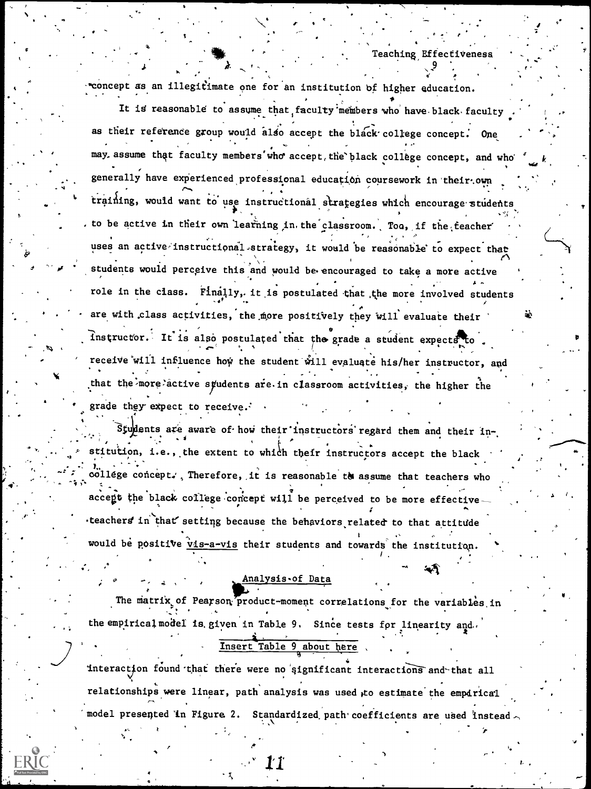範

\*concept as an illegitimate one for an institution of higher education.

It is reasonable to assume that faculty members who have black faculty as their reference group would also accept the black college concept. One may assume that faculty members who accept the black college concept, and who generally have experienced professional education coursework in their own training, would want to use instructional strategies which encourage students to be active in their own learning in the classroom. Too, if the teacher uses an active instructional strategy, it would be reasonable to expect that students would perceive this and would be encouraged to take a more active role in the class. Finally, it is postulated that the more involved students are with class activities, the more positively they will evaluate their Instructor. It is also postulated that the grade a student expects to receive will influence how the student will evaluate his/her instructor, and that the more active syudents are in classroom activities, the higher the grade they expect to receive.

Students are aware of how their instructors regard them and their institution, i.e., the extent to which their instructors accept the black willege concept. Therefore, it is reasonable to assume that teachers who accept the black college concept will be perceived to be more effective teachers in that setting because the behaviors related to that attitude would be positive vis-a-vis their students and towards the institution.

Analysis.of Data

The matrix of Pearson product-moment correlations for the variables in the empirical model is given in Table 9. Since tests for linearity and.

Insert Table 9 about here

interaction found that there were no significant interactions and that all relationships were linear, path analysis was used to estimate the empirical model presented in Figure 2. Standardized path coefficients are used instead  $\sim$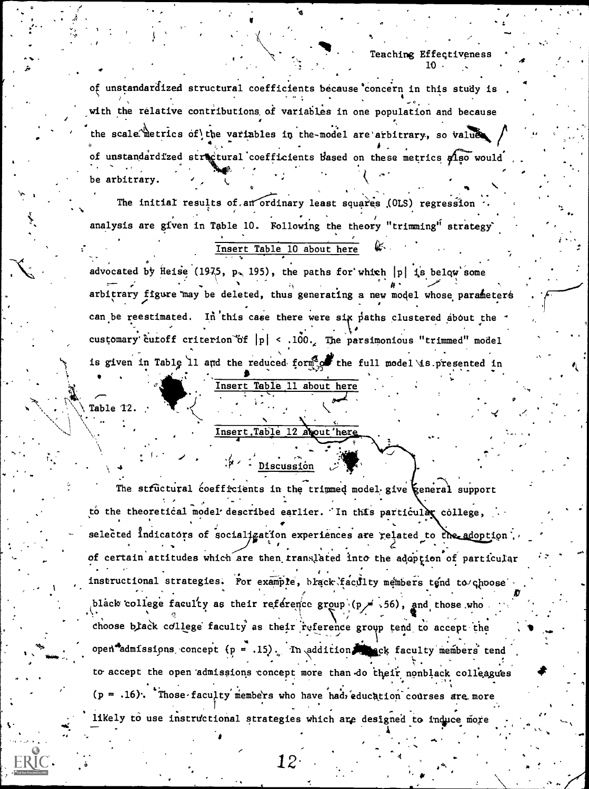of unstandardized structural coefficients because concern in this study is with the relative contributions of variables in one population and because the scale metrics of the variables in the-model are arbitrary, so values of unstandardized structural coefficients based on these metrics also would be arbitrary.

The initial results of an ordinary least squares (OLS) regression analysis are given in Table 10. Following the theory "trimming" strategy'

# Insert Table 10 about here

advocated by Heise (1975, p. 195), the paths for which  $|p|$  is below some arbitrary figure may be deleted, thus generating a new model whose parameters can be reestimated. In this case there were six paths clustered about the customary cutoff criterion of  $|p| < .100$ . The parsimonious "trimmed" model is given in Table 11 and the reduced form of the full model is presented in

Insert Table 11 about here

Table 12.

# Insert.Table 12 about here

# $4 \cdot 1$  Discussion

The structural coefficients in the trimmed model give ceneral support to the theoretical model described earlier. In this particular college, selected indicators of socialization experiences are related to the adoption. of certain attitudes which are then translated into the adoption of particular instructional strategies. For example, black faculty members tend to choose black college faculty as their reference  $group \ (p \neq .56)$ , and those who. choose black college faculty as their reference group tend to accept the open admissions concept  $(p = .15)$ . In addition week faculty members tend to accept the open admissions concept more than do their nonblack colleagues  $(p = .16)$ . Those faculty members who have had education courses are more likely to use instructional strategies which are designed to induce more

12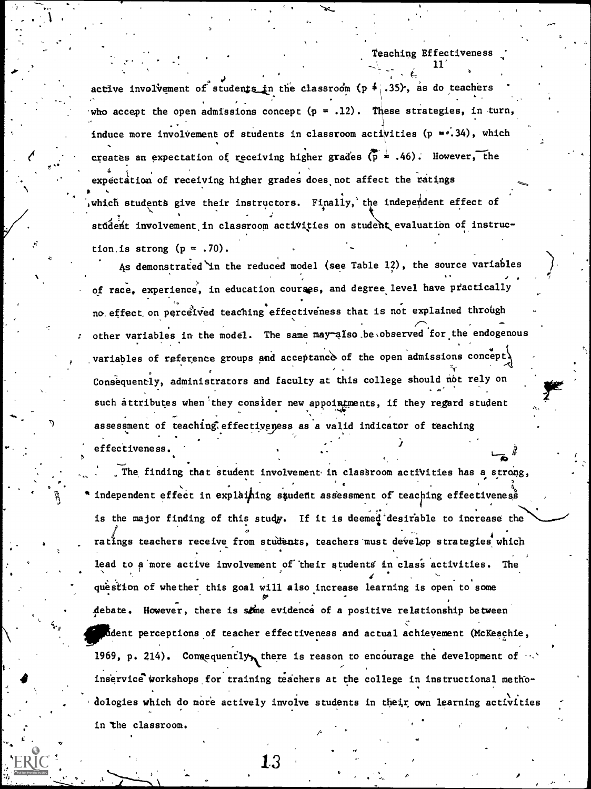11'

 $\mathbf{I}$ 

creates an expectation of receiving higher grades (p = .46). However, the  $\sim$ active involvement of students in the classroom ( $p \neq .35$ ), as do teachers  $\sim$ who accept the open admissions concept  $(p = .12)$ . These strategies, in turn,  $\mathcal{L}(\mathcal{L})$ induce more involvement of students in classroom activities (p =0.34), which and  $\sim$  $\frac{1}{4}$  expectation of receiving higher grades does not affect the ratings which students give their instructors. Finally, the independent effect of student involvement in classroom activities on student evaluation of instruction is strong  $(p = .70)$ .

As demonstrated in the reduced model (see Table 12), the source variables of race, experience, in education courses, and degree level have practically no effect on perceived teaching effectiveness that is not explained through the state of other variables in the model. The same may also be observed for the endogenous variables of reference groups and acceptance of the open admissions concept. . Consequently, administrators and faculty at this college should nbt rely on such attributes when they consider new appointments, if they regard student assessment of teaching effectiveness as a valid indicator of teaching effectiveness.

The finding that student involvement in classroom activities has a strong, independent effect in explaining student assessment of teaching effectiveness is the major finding of this study. If it is deemed desirable to increase the  $\sigma$  , and the contract of the contract of the contract of the contract of the contract of the contract of the contract of the contract of the contract of the contract of the contract of the contract of the contract of th ratings teachers receive from students, teachers must develop strategies which . . lead to a more active involvement of their students in class activities. The question of whether this goal will also increase learning is open to some Es\* debate. However, there is some evidence of a positive relationship between Lident perceptions of teacher effectiveness and actual achievement (McKeachie, 1969, p. 214). Consequently, there is reason to encourage the development of  $\cdots$ inservice workshops for training teachers at the college in instructional methodologies which do more actively involve students in their own learning activities in the classroom.

o

 $\begin{array}{c} 13 \\ -1 \end{array}$ 

R.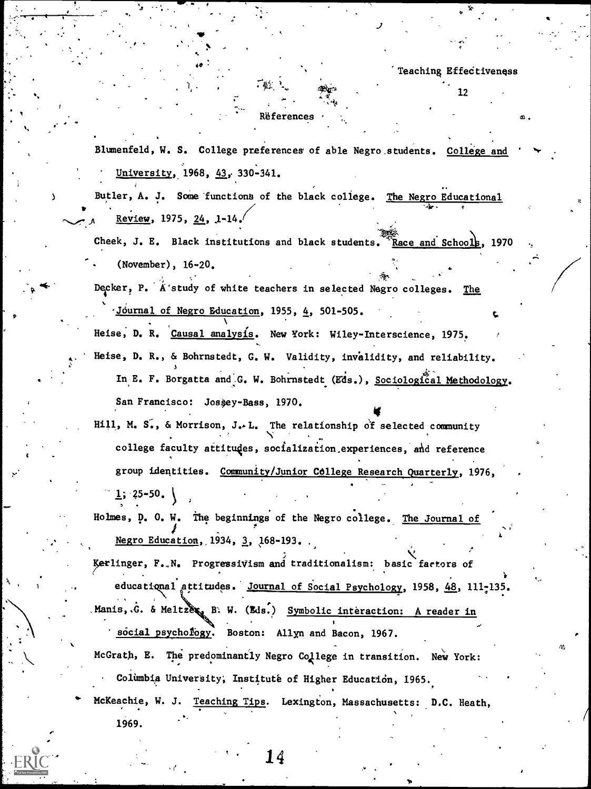$\mathbf{\hat{x}}$  .

 $12 \cdot$ 

a

#### Rëferences

Blumenfeld, W. S. College preferences of able Negro. students. College and University, 1968, 43, 330-341.

Butler, A. J. Some functions of the black college. The Negro Educational Review, 1975, 24, 1-14.

Cheek, J. E. Black institutions and black students. Race and Schools, 1970 (November), 16-20,

Decker, P. A'study of white teachers in selected Negro colleges. The

Journal of Negro Education, 1955, 4, 501-505.

Heise, D. R. Causal analysis. New York: Wiley-Interscience, 1975. Heise, D. R., & Bohrnstedt, G. W. Validity, invalidity, and reliability.

3 In E. F. Borgatta and G. W. Bohrnstedt (Eds.), Sociological Methodology. San Francisco: Josèey-Bass, 1970.

1111 - IV 1111

Hill, M. S., & Morrison, J. L. The relationship of selected community college faculty aitituges, socialization,experiences, and reference group identities. Community/Junior College Research Quarterly, 1976,  $1; 25-50$ .

Holmes, D. 0. W. the beginnings of the Negro college. The Journal of Negro Education, 1934, 3, 168-193.

 $\mathbf{r} = \mathbf{r} \cdot \mathbf{r}$ serlinger, F.,N. ProgressWism and traditionalism: basic factors of educational attitudes. Journal of Social Psychology, 1958, 48, 111-135.  $M$ anis,. $G$ . & Meltze $\epsilon$ , B. W. (Eds.) Symbolic interaction: A reader in social psychology. Boston: Allyn and Bacon, 1967.

McGrath, E. The predominantly Negro College in transition. New York: Columbia University, Instituté of Higher Education, 1965.

McKeachie, W. J. Teaching Tips. Lexington, Massachusetts: D.C. Heath,

14

1969.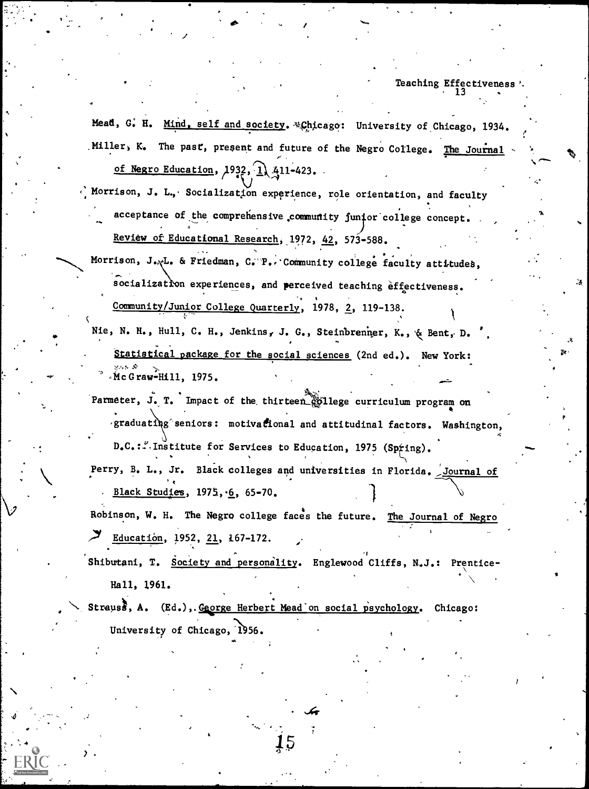Mead, G. H. Mind, self and society. 4Chicago: University of Chicago, 1934. Miller, K. The past, present and future of the Negro College. The Journal of Negro Education,  $1932, 1$ ,  $411-423$ .

Morrison, J. L., Socialization experience, role orientation, and faculty acceptance of the comprehensive community funior college concept. Review of Educational Research, 1972, 42, 573-588.

Morrison, J.,L. & Friedman, C. P.. Community college faculty attitudes, socialization experiences, and perceived teaching effectiveness. Community/Junior College Quarterly, 1978, 2, 119-138.

Nie, N. H., Hull, C. H., Jenkins, J. G., Steinbrenner, K., & Bent, D. ', Statistical package for the social sciences (2nd ed.). New York: Mc Graw-Hill, 1975.

Parmeter, J. T. Impact of the thirteen gollege curriculum program on 'graduating'seniors: motivational and attitudinal factors. Washington,

D.C.:..Institute for Services to Education, 1975 (Spring). Perry, B. L., Jr. Black colleges and universities in Florida. Journal of Black Studies,  $1975, \dot{6}, 65-70$ .

Robinson, W. H. The Negro college faces the future. The Journal of Negro  $\overline{Z}$  Education, 1952, 21, 167-172.

Shibutani, T. Society and personality. Englewood Cliffs, N.J.: Prentice-Associated in the second Hall, 1961.

Strauss, A. (Ed.),. George Herbert Mead on social psychology. Chicago: University of Chicago, 1956.

 $15\,$ 

,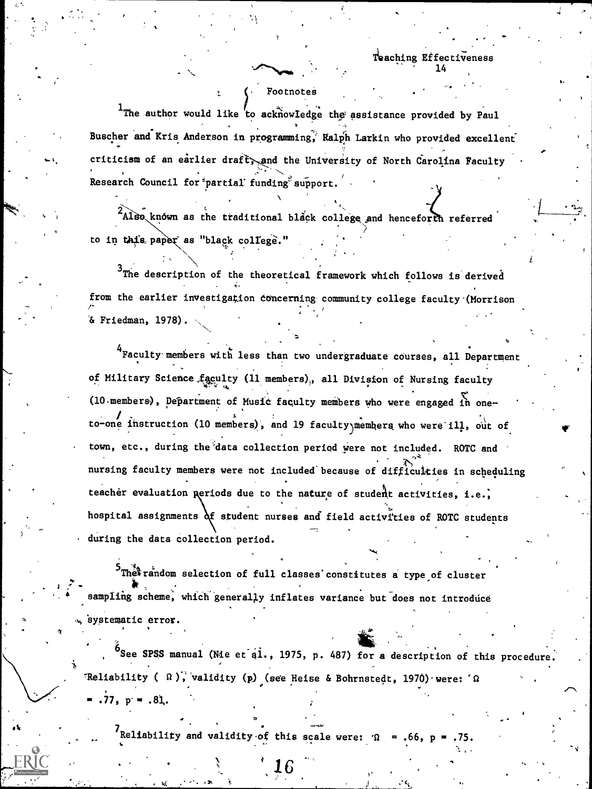14

rr

 $\mathcal{L}$  is a set of  $\mathcal{L}$ 

 $\blacktriangledown$ 

4

### Footnotes

<sup>1</sup>The author would like to acknowledge the assistance provided by Paul Buscher and Kris Anderson in programming? Ralph Larkin who provided excellent criticism of an earlier draft, and the University of North Carolina Faculty = Research Council for partial funding support.

A

 $^{2}$ Also known as the traditional black college and henceforth referred to in this paper as "black college."

 $3$ The description of the theoretical framework which follows is derived from the earlier investigation concerning community college faculty (Morrison /-& Friedman, 1978).

<sup>4</sup> Faculty members with less than two undergraduate courses, all Department of Military Science,faculty (11 members),, all Division of Nursing faculty  $(10$  members), Department of Music faculty members who were engaged in oneto-one instruction (10 members), and 19 faculty members who were ill, out of town, etc., during the'data collection period were not included. ROTC and nursing faculty members were not included because of difficulties in scheduling teacher evaluation periods due to the nature of student activities, i.e., hospital assignments  $\delta$ f student nurses and field activities of ROTC students during the data collection period.

 $^5$ The $^3$ random selection of full classes constitutes a type of cluster . r  $\mathcal{E} = \{ \ldots, \ldots, \mathcal{R} \}$ sampling scheme, which generally inflates variance but does not introduce systematic error.

See SPSS manual (Mie et al., 1975, p. 487) for a description of this procedure. 'Reliability ( $\Omega$ ), validity (p) (see Heise & Bohrnstedt, 1970) were:  $\Omega$  $.77, p = .81.$ 

Reliability and validity of this scale were:  $\Omega$ 

 $6 \qquad ,$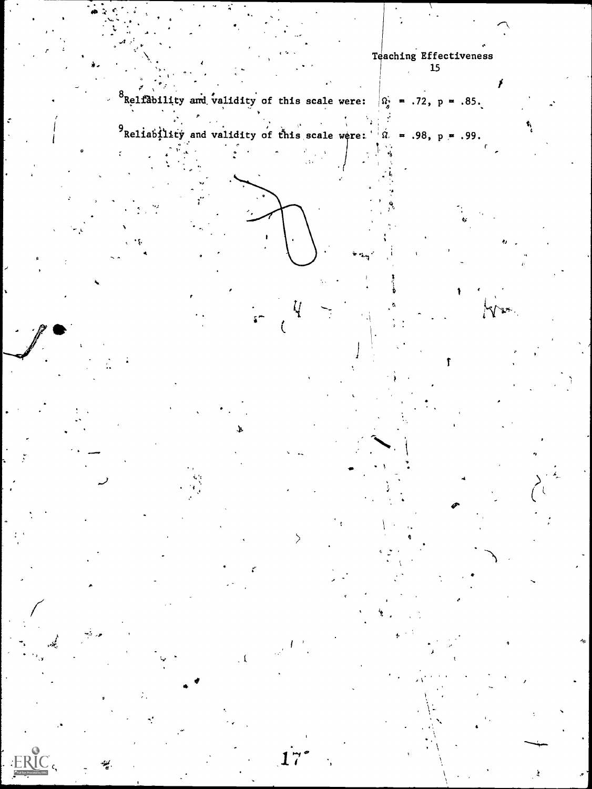

- 1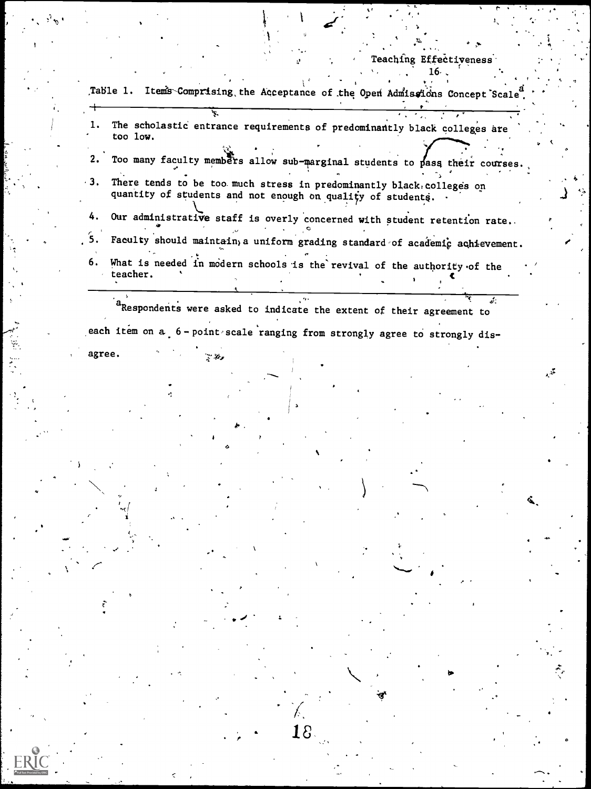|  | Teaching Effectiveness |  |
|--|------------------------|--|
|  | 16.                    |  |

 $\frac{1}{\sqrt{2}}$ 

| too low.       | The scholastic entrance requirements of predominantly black colleges are                                                            |             |  |        |    |
|----------------|-------------------------------------------------------------------------------------------------------------------------------------|-------------|--|--------|----|
| 2.             | Too many faculty members allow sub-marginal students to pass their courses.                                                         |             |  |        |    |
| $-3.$          | There tends to be too much stress in predominantly black colleges on<br>quantity of students and not enough on quality of students. |             |  |        |    |
| 4.             | Our administrative staff is overly concerned with student retention rate.                                                           |             |  |        |    |
| 5.             | Faculty should maintain, a uniform grading standard of academic achievement.                                                        |             |  |        |    |
| 6.<br>teacher. | What is needed in modern schools is the revival of the authority of the                                                             |             |  |        |    |
|                |                                                                                                                                     |             |  | والجما |    |
|                | <sup>a</sup> Respondents were asked to indicate the extent of their agreement to                                                    |             |  |        |    |
|                | each item on a 6-point scale ranging from strongly agree to strongly dis-                                                           |             |  |        |    |
| agree.         | こぞっ                                                                                                                                 |             |  |        |    |
|                |                                                                                                                                     |             |  |        |    |
|                |                                                                                                                                     |             |  |        |    |
|                |                                                                                                                                     |             |  |        |    |
|                |                                                                                                                                     |             |  |        |    |
|                |                                                                                                                                     |             |  |        |    |
|                |                                                                                                                                     |             |  |        | G. |
|                |                                                                                                                                     |             |  |        |    |
|                |                                                                                                                                     |             |  |        |    |
|                |                                                                                                                                     |             |  |        |    |
|                |                                                                                                                                     |             |  |        |    |
|                |                                                                                                                                     |             |  |        |    |
|                |                                                                                                                                     |             |  |        |    |
|                |                                                                                                                                     |             |  |        |    |
|                |                                                                                                                                     |             |  |        |    |
|                |                                                                                                                                     | $8^{\circ}$ |  |        |    |
|                |                                                                                                                                     |             |  |        |    |

ERI

 $\frac{1}{\sqrt{2}}$ 

Į,

 $\epsilon$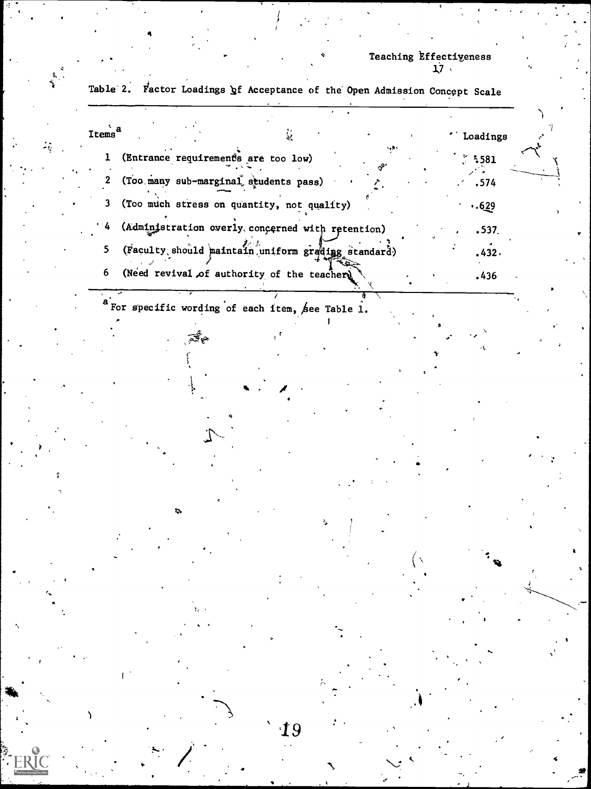sC,

**Service** Service

example in the set of the set of the set of the set of the set of the set of the set of the set of the set of the set of the set of the set of the set of the set of the set of the set of the set of the set of the set of th 1 (Entrance requirements are too low)  $\frac{1}{5}$  581 2 (Too many sub-marginal students pass) .  $\cdot$   $\cdot$  .574 3 (Too much stress on quantity, not quality) ..629  $(Admimjstration overly, compared with retention)$ . 537. 5 (Faculty should maintain uniform grading standard) . 432.  $\mathcal{F}^{\mathcal{F}}$  is a set of  $\mathcal{F}^{\mathcal{F}}$ 6 (Need revival,of authority, of the teacher, .436  $a$  For specific wording of each item, see Table 1. tion of the state of the state of the

19

Table 2. Factor Loadings of Acceptance of the Open Admission Concept Scale

4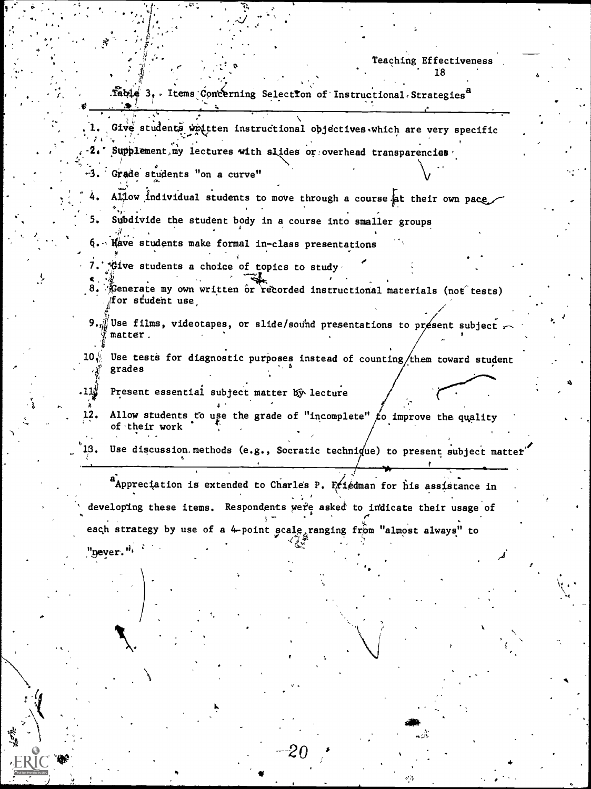1<sup>'</sup>8

Table 3, Items Concerning Selection of Instructional Strategies<sup>8</sup>

- Give students waitten instructional objectives which are very specific
- Supplement my lectures with slides or overhead transparencies  $-2.1$
- -3. Grade students "on a curve"
- Allow individual students to move through a course at their own pace. 4.
- Subdivide the student body in a course into smaller groups 5.
	- Have students make formal in-class presentations
- \*Give students a choice of topics to study
- 8. Cenerate my own written or recorded instructional materials (not tests) for student use
- $9.$  Wee films, videotapes, or slide/sound presentations to présent subject matter.
- Use tests for diagnostic purposes instead of counting/them toward student  $10\sqrt{2}$ grades
- Present essential subject matter by lecture للا11 .
- Allow students to use the grade of "incomplete"  $f_0$  improve the quality 12. of their work
- Use discussion methods (e.g., Socratic technique) to present subject matter

a Appreciation is extended to Charles P. Friedman for his assistance in developing these items. Respondents were asked to indicate their usage of each strategy by use of a 4-point scale ranging from "almost always" to "never."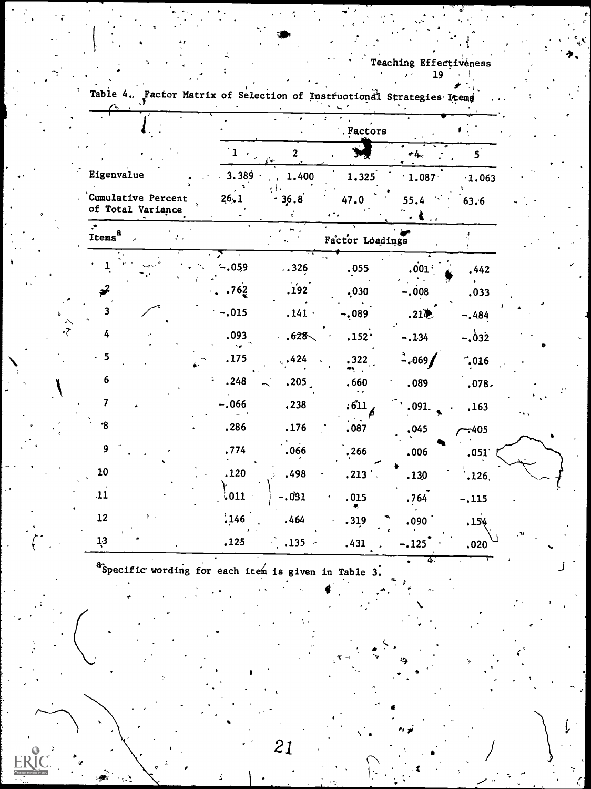र्द्र

| ranta                                   |         |                       | actor matrix of Selection of Instructional Strategies Items |                  |               |
|-----------------------------------------|---------|-----------------------|-------------------------------------------------------------|------------------|---------------|
|                                         |         |                       | . Factors                                                   |                  |               |
|                                         |         | $\overline{2}$<br>`æ∹ |                                                             | r4.              | $5^{\degree}$ |
| Eigenvalue                              | 3.389   | 1.400                 | 1.325                                                       | 1.087            | 1.063         |
| Cumulative Percent<br>of Total Variance | 26.1    | 36.8                  | 47.0                                                        | 55.4             | 63.6          |
| Items <sup>a</sup>                      |         |                       | Factor Loadings                                             |                  |               |
|                                         | $-0.59$ | . .326                | .055                                                        | .001             | .442          |
| $\boldsymbol{\varkappa}$                | .762    | .192                  | .030                                                        | $-.008$          | .033          |
| 3                                       | $-.015$ | .141.                 | $-.089$                                                     | .21 <sub>2</sub> | $-.484$       |
| 4                                       | .093    | .628 <sub>1</sub>     | .152.                                                       | $-.134$          | $-0.032$      |
| 5                                       | .175    | .424                  | .322                                                        | $-0.69$          | $-0.016$      |
| 6                                       | .248    | .205                  | .660                                                        | .089             | .078.         |
| $\overline{\mathbf{z}}$                 | $-.066$ | .238                  | .611                                                        | .091.            | .163          |
| $\cdot$ 8                               | .286    | .176                  | .087                                                        | .045             | $-405$        |
| 9                                       | .774    | .066                  | .266                                                        | .006             | .051'         |
| 10                                      | .120    | .498                  | .213                                                        | .130             | .126.         |
| 11                                      | ,011    | -.031                 | .015                                                        | .764             | $-.115$       |
| 12                                      | .146    | .464                  | .319                                                        | .090             | ,154          |
| 13                                      | .125    | .135                  | .431                                                        | $-.125$          | .020          |

 $\mathcal{I}$ 

<sup>a</sup>Specific wording for each item is given in Table 3.

21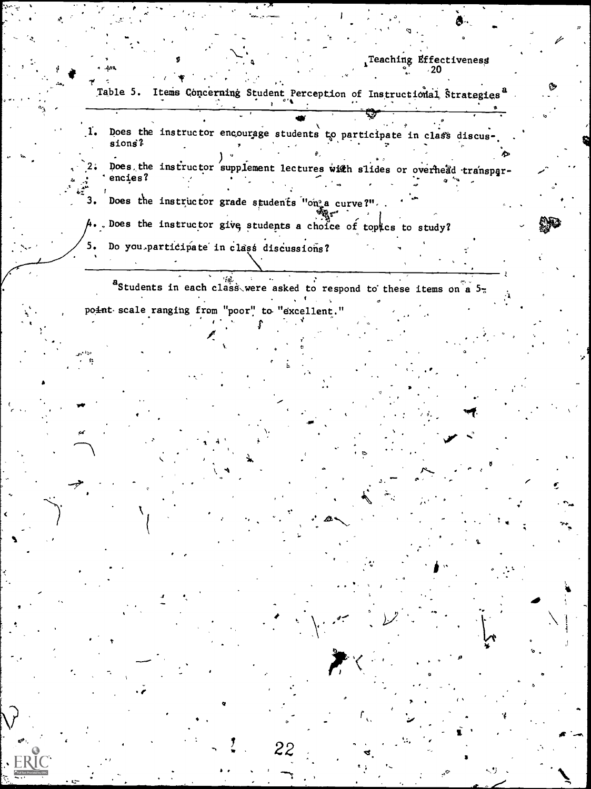- Table 5. Items Concerning Student Perception of Instructional Strategies<sup>a</sup>
- Does the instructor encourage students to participate in class discusr. sions? Does the instructor supplement lectures with slides or overhead transpar- $2.5$ encies?
- Does the instructor grade students "on"a curve?".  $3.$ A. Does the instructor give students a choice of topics to study? 5. Do you participate in class discussions?

a<br>Students in each class were asked to respond to these items on a 5point scale ranging from "poor" to "excellent."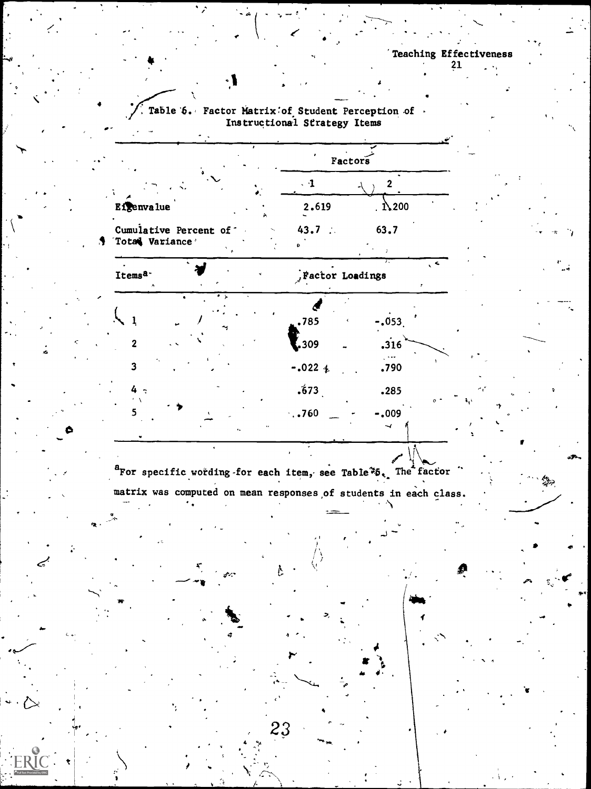$-0.053$ .

 $.316$ 

 $\mathbb{R}$ 

 $.790$ 

# Table 6. Factor Matrix of Student Perception of. Instructional Strategy Items

ر د

 $\mathbf{1}$ 

 $\overline{2}$ 

3

ER

|                                                   | Factors         |       |     |
|---------------------------------------------------|-----------------|-------|-----|
|                                                   |                 |       |     |
| Eigenvalue<br>$\lambda$                           | 2.619           | .1200 |     |
| Cumulative Percent of<br>$\sim$<br>Total Variance | 43.7<br>- 10    | 63.7  |     |
| Items <sup>a-</sup><br>۸                          | Factor Loadings |       | . < |
| ۰,                                                |                 |       |     |



ŀ.

23

.785

 $\frac{1}{2}$ ,309

 $-.022 +$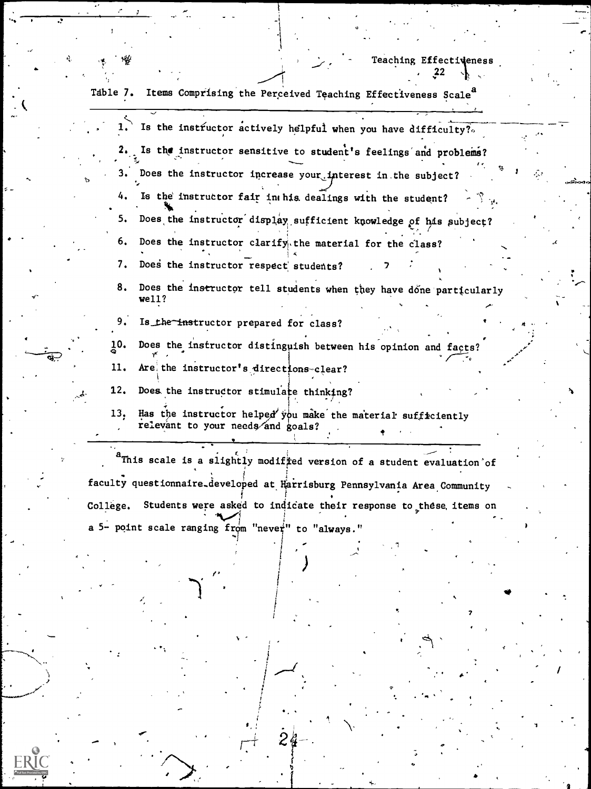7

| Table 7. | Items Comprising the Perceived Teaching Effectiveness Scale <sup>8</sup>                          |
|----------|---------------------------------------------------------------------------------------------------|
|          | Is the instructor actively helpful when you have difficulty?.                                     |
|          | Is the instructor sensitive to student's feelings and problems?                                   |
| з.       | Does the instructor increase your interest in the subject?                                        |
| 4.       | Is the instructor fair in his dealings with the student?                                          |
| 5.       | Does the instructor display sufficient knowledge of his subject?                                  |
| 6.       | Does the instructor clarify, the material for the class?                                          |
| 7.       | Does the instructor respect students?                                                             |
| 8.       | Does the instructor tell students when they have done particularly<br>well?                       |
| 9.       | Is the instructor prepared for class?                                                             |
| 10.      | Does the instructor distinguish between his opinion and facts?                                    |
| 11.      | Are the instructor's directions-clear?                                                            |
| 12.      | Does the instructor stimulate thinking?                                                           |
| 13.      | Has the instructor helped you make the material sufficiently<br>relevant to your needs and goals? |
|          | <sup>a</sup> This scale is a slightly modified version of a student evaluation of                 |
|          | faculty questionnaire developed at Harrisburg Pennsylvania Area Community                         |
| College. | Students were asked to indicate their response to these items on                                  |
|          | a 5- point scale ranging from "never" to "always."                                                |
|          |                                                                                                   |

 $2<sub>6</sub>$ 

yay

7

ś.

 $ERIC$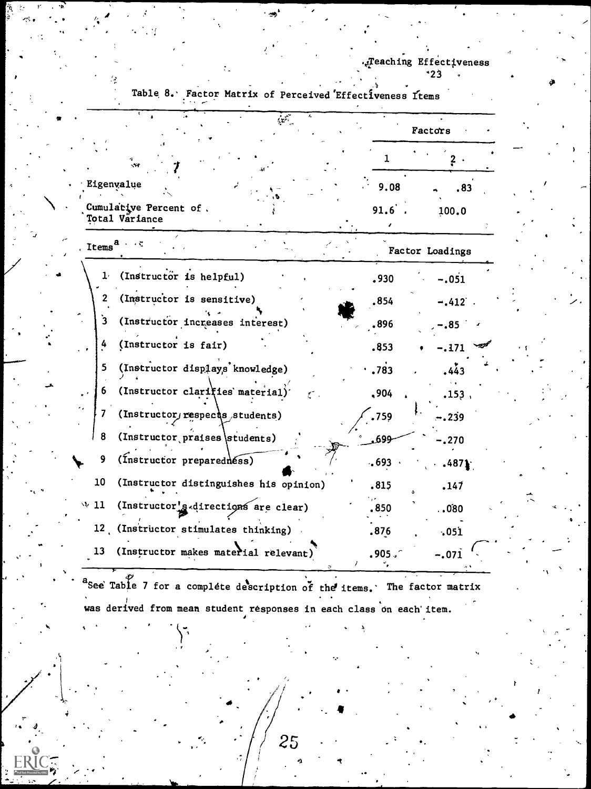|                                                                                                                                                                                                                                                                                                                                                                                                                                                                                                                       |       | Factors         |
|-----------------------------------------------------------------------------------------------------------------------------------------------------------------------------------------------------------------------------------------------------------------------------------------------------------------------------------------------------------------------------------------------------------------------------------------------------------------------------------------------------------------------|-------|-----------------|
| -19                                                                                                                                                                                                                                                                                                                                                                                                                                                                                                                   | 1     |                 |
| أتتميز<br>Eigenvalue<br>9.08<br>91.6.<br>$\sim$ 50<br>(Instructor is helpful)<br>.930<br>(Instructor is sensitive)<br>.854<br>(Instructor increases interest)<br>.896<br>(Instructor is fair)<br>.853<br>(Instructor displays knowledge)<br>.783<br>(Instructor clarifies material)<br>,904<br>(Instructor, respects students)<br>.759<br>(Instructor praises students)<br>.699<br>(Instructor preparednéss)<br>.693<br>(Instructor distinguishes his opinion)<br>.815<br>(Instructor's directions are clear)<br>.850 |       | .83             |
| Cumulative Percent of.<br><b>Total Väriance</b>                                                                                                                                                                                                                                                                                                                                                                                                                                                                       |       | 100.0           |
| Items <sup>a</sup>                                                                                                                                                                                                                                                                                                                                                                                                                                                                                                    |       | Factor Loadings |
| 1 <sup>2</sup>                                                                                                                                                                                                                                                                                                                                                                                                                                                                                                        |       | $-.051$         |
| $\mathbf{2}$                                                                                                                                                                                                                                                                                                                                                                                                                                                                                                          |       | $-.412$         |
| 3                                                                                                                                                                                                                                                                                                                                                                                                                                                                                                                     |       | $-0.85$         |
| 4                                                                                                                                                                                                                                                                                                                                                                                                                                                                                                                     |       | -.171           |
| 5                                                                                                                                                                                                                                                                                                                                                                                                                                                                                                                     |       | .443            |
| 6                                                                                                                                                                                                                                                                                                                                                                                                                                                                                                                     |       | .153.           |
| 7                                                                                                                                                                                                                                                                                                                                                                                                                                                                                                                     |       | -.239           |
| 8                                                                                                                                                                                                                                                                                                                                                                                                                                                                                                                     |       | .270            |
| 9                                                                                                                                                                                                                                                                                                                                                                                                                                                                                                                     |       | .4871           |
| 10                                                                                                                                                                                                                                                                                                                                                                                                                                                                                                                    |       | 147ء            |
| $\vee$ 11                                                                                                                                                                                                                                                                                                                                                                                                                                                                                                             |       | .080.           |
| (Instructor stimulates thinking)<br>12 <sub>1</sub>                                                                                                                                                                                                                                                                                                                                                                                                                                                                   | .876  | .051            |
| 13<br>(Instructor makes material relevant)                                                                                                                                                                                                                                                                                                                                                                                                                                                                            | .905. | -.071           |

Table 8. Factor Matrix of Perceived Effectiveness Items

a<br>See Table 7 for a complete description of the items. The factor matrix was derived from mean student responses in each class on each item.

25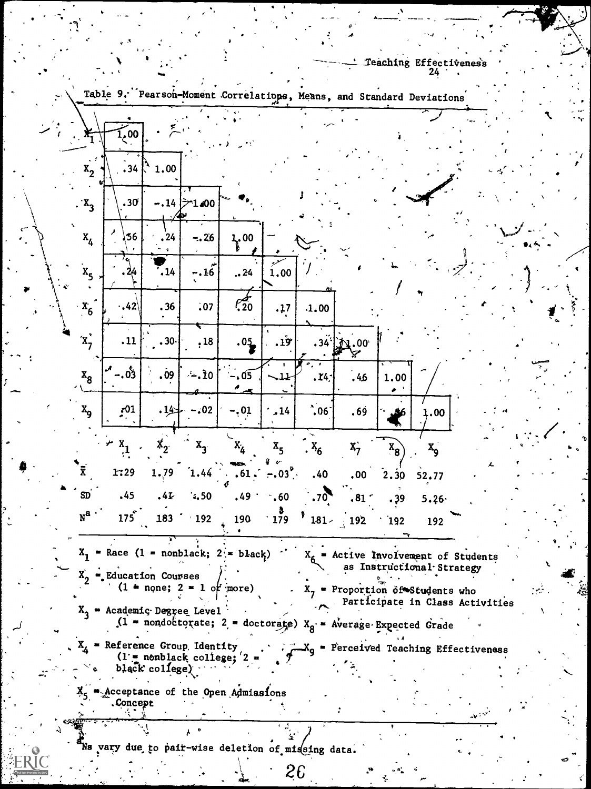|                                     | Table 9. Pearson-Moment Correlations, Means, and Standard Deviations |                           |                                                                           |                          |                  |            |                                          |             |                                 |  |
|-------------------------------------|----------------------------------------------------------------------|---------------------------|---------------------------------------------------------------------------|--------------------------|------------------|------------|------------------------------------------|-------------|---------------------------------|--|
| $\mathbf{r}_1$                      | 1,00                                                                 |                           |                                                                           |                          |                  |            |                                          |             |                                 |  |
| $\bullet$ $\beta$<br>x <sub>2</sub> | .34                                                                  | 1.00                      |                                                                           |                          |                  |            |                                          |             |                                 |  |
| $x_3$                               | .30                                                                  |                           | $-.14$ $>1.00$                                                            |                          |                  |            |                                          |             |                                 |  |
| $\mathbf{x}_4$                      | 36                                                                   | , 24<br>$\pmb{\varsigma}$ | $-.26$                                                                    | $\frac{1}{3}$ , 00       |                  |            |                                          |             |                                 |  |
| x <sub>5</sub>                      | 2/4                                                                  | .14                       | $-.16$                                                                    | .24                      | 1.00             |            |                                          |             |                                 |  |
| $\cdot x_6$                         | $.42\%$                                                              | .36                       | .07                                                                       | $\mathcal{C}_{20}^{\pm}$ | .17              | .1.00      |                                          |             |                                 |  |
| $\mathbf{x}_7$                      | .11                                                                  | .30·                      | , 18                                                                      | .05                      | .19              |            | $.34^{11}$ $M.00^{11}$                   |             |                                 |  |
| $x_8$                               | -.రీు                                                                | .09                       | ∕∸.Ì0                                                                     | .05                      | $\mathbf{\mu}$   | .14.       | .46                                      | 1.00        |                                 |  |
| $x_{9}$                             | $\frac{1}{2}$                                                        | .14                       | .02                                                                       | .01                      | .14              | $\cdot 06$ | . 69                                     | 86          | 1.00                            |  |
| $\overline{\overline{x}}$           | $x_1$                                                                | $\mathbf{x}_2$            | $\mathbf{x}_{3}$                                                          | $\mathbf{x}_\mathbf{z}$  | $x^2$            | $x_6$      | $x_7$                                    | $x_{8}$     | $x_{9}$                         |  |
| <b>SD</b>                           | 1:29<br>.45                                                          | 1.79<br>.41               | 1.44<br>4,50                                                              | . 61 ،<br>.49            | $-0.03$ .<br>.60 | .40<br>.70 | .00<br>.81                               | 2, 30       | 52.77                           |  |
| $N^{\mathbf{a}}$                    | 175                                                                  | 183                       | 192                                                                       | 190                      | 179              | $181 -$    | $\frac{192}{ }$                          | . 39<br>192 | 5.26<br>192                     |  |
| $X_1$                               | = Race $(1 = \text{nonblack}; 2)$ = black)                           |                           |                                                                           |                          |                  |            | $X_{6}$ = Active Involvement of Students |             | as Instructional Strategy       |  |
| $X_{2}$                             | Education Courses                                                    |                           | $(1 + n$ gne; $2 = 1$ of more)                                            |                          |                  |            | $X_7$ = Proportion of Students who       |             | Participate in Class Activities |  |
|                                     | $X_2$ = Academic Degree Level                                        |                           | $(1$ = nondoctorate; 2 = doctorate) $X_{\alpha}$ = Average Expected Grade |                          |                  |            |                                          |             |                                 |  |
|                                     | $X_L$ = Reference Group, Identity                                    | black $college)$          | $(1 - \text{nonblack college}; 2)$                                        |                          |                  |            | = Perceived Teaching Effectiveness       |             |                                 |  |
|                                     | acceptance of the Open Admissions.<br>.Concept                       |                           |                                                                           |                          |                  |            |                                          |             |                                 |  |
|                                     |                                                                      |                           |                                                                           |                          |                  |            |                                          |             |                                 |  |
|                                     | Ns vary due to pair-wise deletion of missing data.                   |                           |                                                                           |                          |                  | 26         |                                          |             |                                 |  |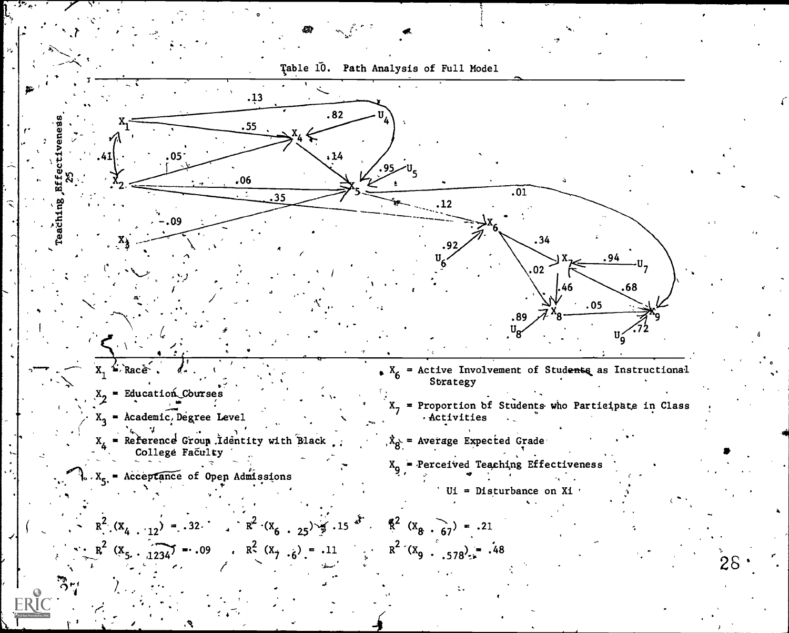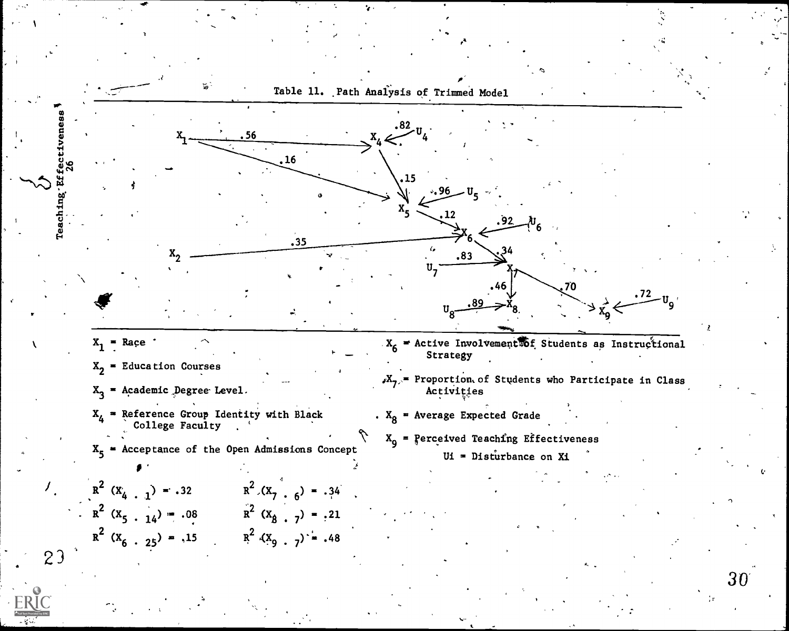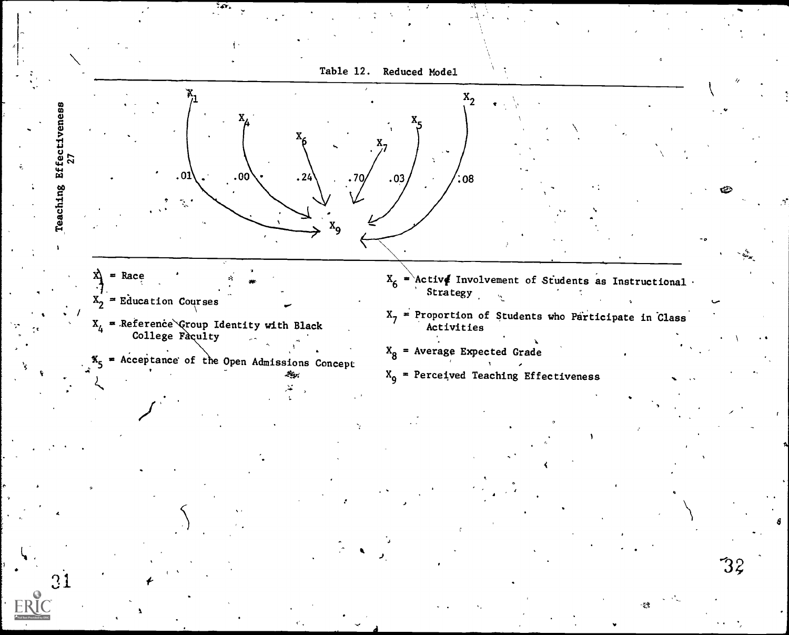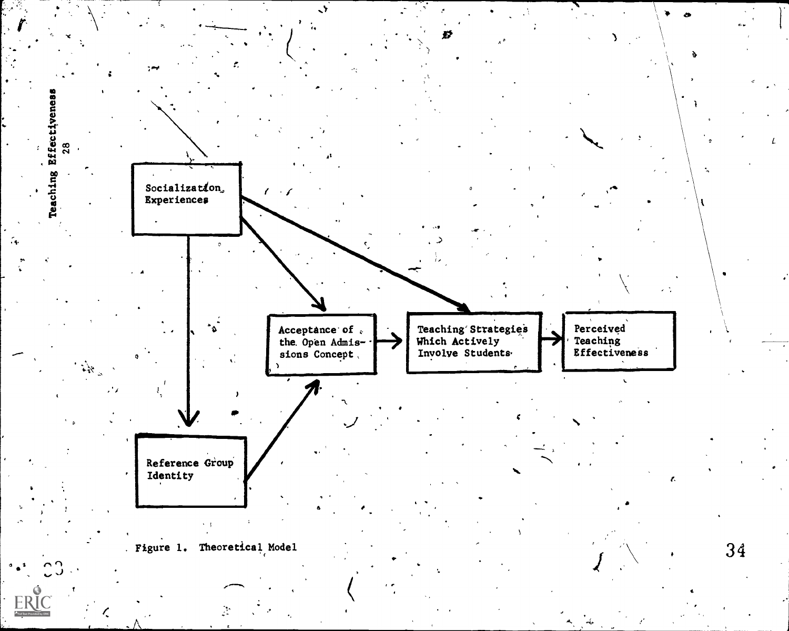